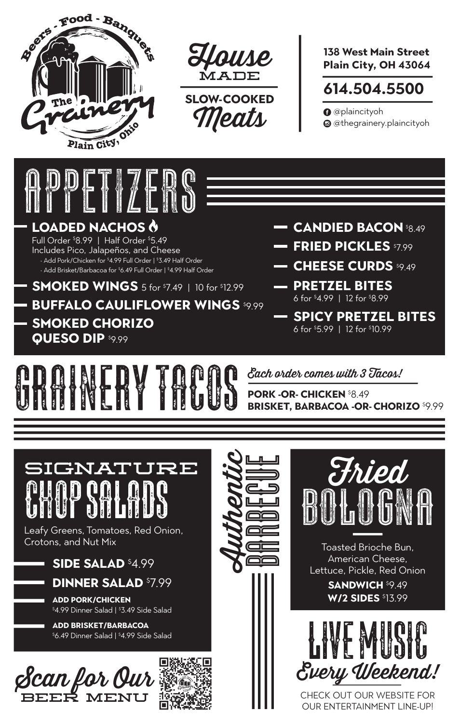

beer menu



**SLOW-COOKED**  eats

**138 West Main Street Plain City, OH 43064**

## **614.504.5500**

**O** @plaincityoh @ @thegrainery.plaincityoh



CHECK OUT OUR WEBSITE FOR OUR ENTERTAINMENT LINE-UP!